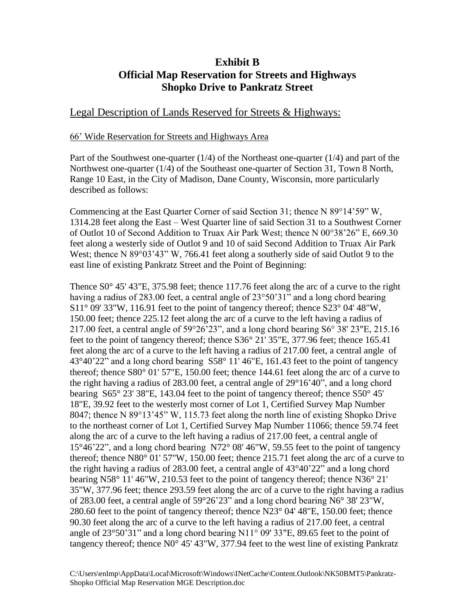## **Exhibit B Official Map Reservation for Streets and Highways Shopko Drive to Pankratz Street**

## Legal Description of Lands Reserved for Streets & Highways:

## 66' Wide Reservation for Streets and Highways Area

Part of the Southwest one-quarter (1/4) of the Northeast one-quarter (1/4) and part of the Northwest one-quarter (1/4) of the Southeast one-quarter of Section 31, Town 8 North, Range 10 East, in the City of Madison, Dane County, Wisconsin, more particularly described as follows:

Commencing at the East Quarter Corner of said Section 31; thence  $N$  89°14'59" W, 1314.28 feet along the East – West Quarter line of said Section 31 to a Southwest Corner of Outlot 10 of Second Addition to Truax Air Park West; thence N 00°38'26" E, 669.30 feet along a westerly side of Outlot 9 and 10 of said Second Addition to Truax Air Park West; thence N 89°03'43" W, 766.41 feet along a southerly side of said Outlot 9 to the east line of existing Pankratz Street and the Point of Beginning:

Thence S0 $\degree$  45' 43"E, 375.98 feet; thence 117.76 feet along the arc of a curve to the right having a radius of 283.00 feet, a central angle of 23°50'31" and a long chord bearing  $S11^{\circ}$  09' 33"W, 116.91 feet to the point of tangency thereof; thence  $S23^{\circ}$  04' 48"W, 150.00 feet; thence 225.12 feet along the arc of a curve to the left having a radius of 217.00 feet, a central angle of 59°26'23", and a long chord bearing S6° 38' 23"E, 215.16 feet to the point of tangency thereof; thence S36° 21' 35"E, 377.96 feet; thence 165.41 feet along the arc of a curve to the left having a radius of 217.00 feet, a central angle of 43°40'22" and a long chord bearing S58° 11' 46"E, 161.43 feet to the point of tangency thereof; thence S80° 01' 57"E, 150.00 feet; thence 144.61 feet along the arc of a curve to the right having a radius of 283.00 feet, a central angle of 29°16'40", and a long chord bearing S65° 23' 38"E, 143.04 feet to the point of tangency thereof; thence S50° 45' 18"E, 39.92 feet to the westerly most corner of Lot 1, Certified Survey Map Number 8047; thence N 89°13'45" W, 115.73 feet along the north line of existing Shopko Drive to the northeast corner of Lot 1, Certified Survey Map Number 11066; thence 59.74 feet along the arc of a curve to the left having a radius of 217.00 feet, a central angle of 15°46'22", and a long chord bearing N72° 08' 46"W, 59.55 feet to the point of tangency thereof; thence N80° 01' 57"W, 150.00 feet; thence 215.71 feet along the arc of a curve to the right having a radius of 283.00 feet, a central angle of 43°40'22" and a long chord bearing N58° 11' 46"W, 210.53 feet to the point of tangency thereof; thence N36° 21' 35"W, 377.96 feet; thence 293.59 feet along the arc of a curve to the right having a radius of 283.00 feet, a central angle of 59°26'23" and a long chord bearing N6° 38' 23"W, 280.60 feet to the point of tangency thereof; thence N23° 04' 48"E, 150.00 feet; thence 90.30 feet along the arc of a curve to the left having a radius of 217.00 feet, a central angle of 23°50'31" and a long chord bearing N11° 09' 33"E, 89.65 feet to the point of tangency thereof; thence N0° 45' 43"W, 377.94 feet to the west line of existing Pankratz